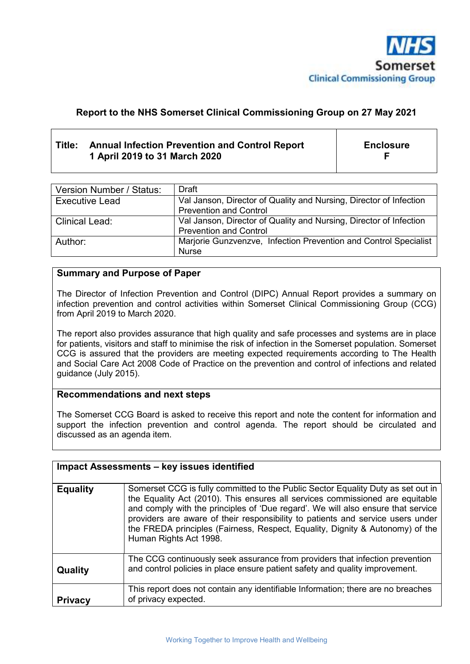

# **Report to the NHS Somerset Clinical Commissioning Group on 27 May 2021**

# **Title: Annual Infection Prevention and Control Report 1 April 2019 to 31 March 2020**

**Enclosure F** 

| Version Number / Status: | Draft                                                              |
|--------------------------|--------------------------------------------------------------------|
| <b>Executive Lead</b>    | Val Janson, Director of Quality and Nursing, Director of Infection |
|                          | <b>Prevention and Control</b>                                      |
| <b>Clinical Lead:</b>    | Val Janson, Director of Quality and Nursing, Director of Infection |
|                          | <b>Prevention and Control</b>                                      |
| Author:                  | Marjorie Gunzvenzve, Infection Prevention and Control Specialist   |
|                          | <b>Nurse</b>                                                       |

#### **Summary and Purpose of Paper**

The Director of Infection Prevention and Control (DIPC) Annual Report provides a summary on infection prevention and control activities within Somerset Clinical Commissioning Group (CCG) from April 2019 to March 2020.

The report also provides assurance that high quality and safe processes and systems are in place for patients, visitors and staff to minimise the risk of infection in the Somerset population. Somerset CCG is assured that the providers are meeting expected requirements according to The Health and Social Care Act 2008 Code of Practice on the prevention and control of infections and related guidance (July 2015).

#### **Recommendations and next steps**

The Somerset CCG Board is asked to receive this report and note the content for information and support the infection prevention and control agenda. The report should be circulated and discussed as an agenda item.

|                 | <b>Impact Assessments - key issues identified</b>                                                                                                                                                                                                                                                                                                                                                                                                   |
|-----------------|-----------------------------------------------------------------------------------------------------------------------------------------------------------------------------------------------------------------------------------------------------------------------------------------------------------------------------------------------------------------------------------------------------------------------------------------------------|
| <b>Equality</b> | Somerset CCG is fully committed to the Public Sector Equality Duty as set out in<br>the Equality Act (2010). This ensures all services commissioned are equitable<br>and comply with the principles of 'Due regard'. We will also ensure that service<br>providers are aware of their responsibility to patients and service users under<br>the FREDA principles (Fairness, Respect, Equality, Dignity & Autonomy) of the<br>Human Rights Act 1998. |
| Quality         | The CCG continuously seek assurance from providers that infection prevention<br>and control policies in place ensure patient safety and quality improvement.                                                                                                                                                                                                                                                                                        |
| <b>Privacy</b>  | This report does not contain any identifiable Information; there are no breaches<br>of privacy expected.                                                                                                                                                                                                                                                                                                                                            |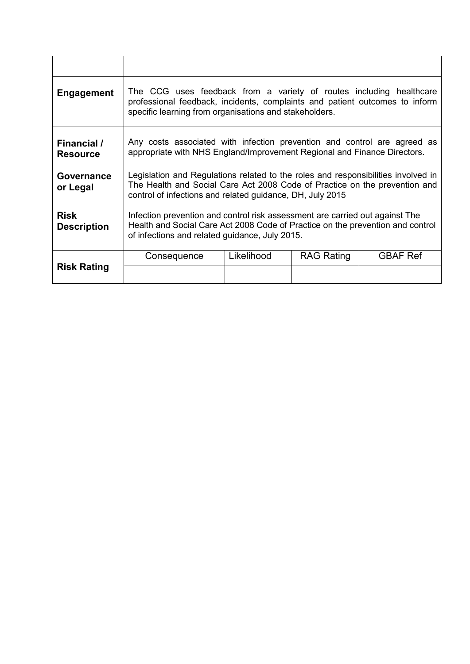| <b>Engagement</b>                 | The CCG uses feedback from a variety of routes including healthcare<br>professional feedback, incidents, complaints and patient outcomes to inform<br>specific learning from organisations and stakeholders.                 |            |                   |                 |  |  |  |
|-----------------------------------|------------------------------------------------------------------------------------------------------------------------------------------------------------------------------------------------------------------------------|------------|-------------------|-----------------|--|--|--|
| Financial /<br><b>Resource</b>    | Any costs associated with infection prevention and control are agreed as<br>appropriate with NHS England/Improvement Regional and Finance Directors.                                                                         |            |                   |                 |  |  |  |
| Governance<br>or Legal            | Legislation and Regulations related to the roles and responsibilities involved in<br>The Health and Social Care Act 2008 Code of Practice on the prevention and<br>control of infections and related guidance, DH, July 2015 |            |                   |                 |  |  |  |
| <b>Risk</b><br><b>Description</b> | Infection prevention and control risk assessment are carried out against The<br>Health and Social Care Act 2008 Code of Practice on the prevention and control<br>of infections and related guidance, July 2015.             |            |                   |                 |  |  |  |
| <b>Risk Rating</b>                | Consequence                                                                                                                                                                                                                  | Likelihood | <b>RAG Rating</b> | <b>GBAF Ref</b> |  |  |  |
|                                   |                                                                                                                                                                                                                              |            |                   |                 |  |  |  |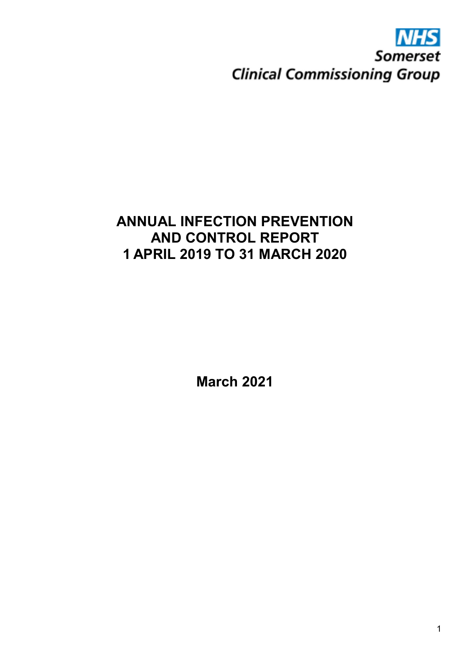# **Somerset Clinical Commissioning Group**

# **ANNUAL INFECTION PREVENTION AND CONTROL REPORT 1 APRIL 2019 TO 31 MARCH 2020**

**March 2021**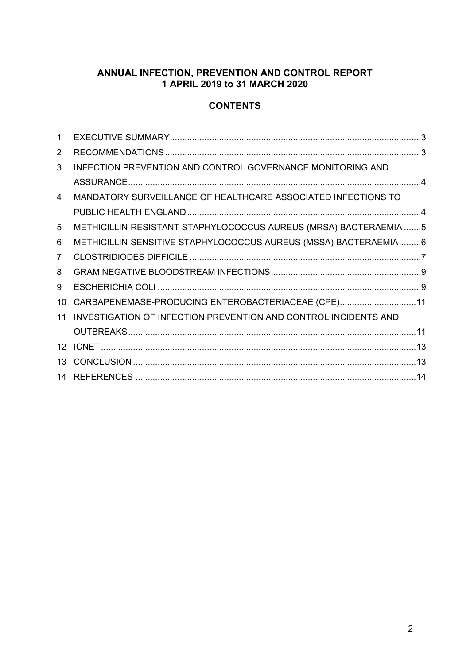#### **ANNUAL INFECTION, PREVENTION AND CONTROL REPORT 1 APRIL 2019 to 31 MARCH 2020**

#### **CONTENTS**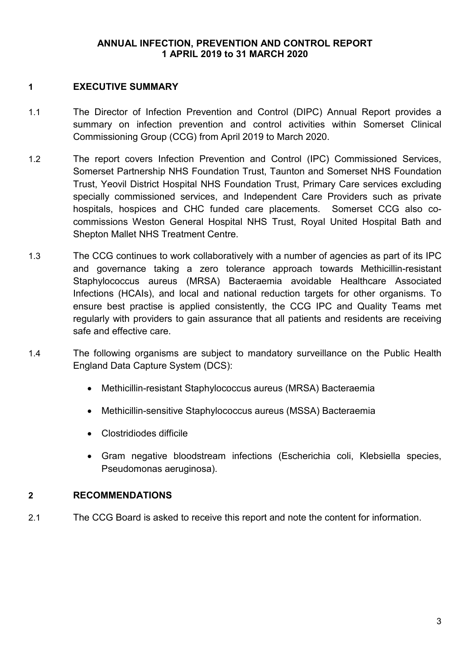#### **ANNUAL INFECTION, PREVENTION AND CONTROL REPORT 1 APRIL 2019 to 31 MARCH 2020**

#### **1 EXECUTIVE SUMMARY**

- 1.1 The Director of Infection Prevention and Control (DIPC) Annual Report provides a summary on infection prevention and control activities within Somerset Clinical Commissioning Group (CCG) from April 2019 to March 2020.
- 1.2 The report covers Infection Prevention and Control (IPC) Commissioned Services, Somerset Partnership NHS Foundation Trust, Taunton and Somerset NHS Foundation Trust, Yeovil District Hospital NHS Foundation Trust, Primary Care services excluding specially commissioned services, and Independent Care Providers such as private hospitals, hospices and CHC funded care placements. Somerset CCG also cocommissions Weston General Hospital NHS Trust, Royal United Hospital Bath and Shepton Mallet NHS Treatment Centre.
- 1.3 The CCG continues to work collaboratively with a number of agencies as part of its IPC and governance taking a zero tolerance approach towards Methicillin-resistant Staphylococcus aureus (MRSA) Bacteraemia avoidable Healthcare Associated Infections (HCAIs), and local and national reduction targets for other organisms. To ensure best practise is applied consistently, the CCG IPC and Quality Teams met regularly with providers to gain assurance that all patients and residents are receiving safe and effective care.
- 1.4 The following organisms are subject to mandatory surveillance on the Public Health England Data Capture System (DCS):
	- Methicillin-resistant Staphylococcus aureus (MRSA) Bacteraemia
	- Methicillin-sensitive Staphylococcus aureus (MSSA) Bacteraemia
	- Clostridiodes difficile
	- Gram negative bloodstream infections (Escherichia coli, Klebsiella species, Pseudomonas aeruginosa).

#### **2 RECOMMENDATIONS**

2.1 The CCG Board is asked to receive this report and note the content for information.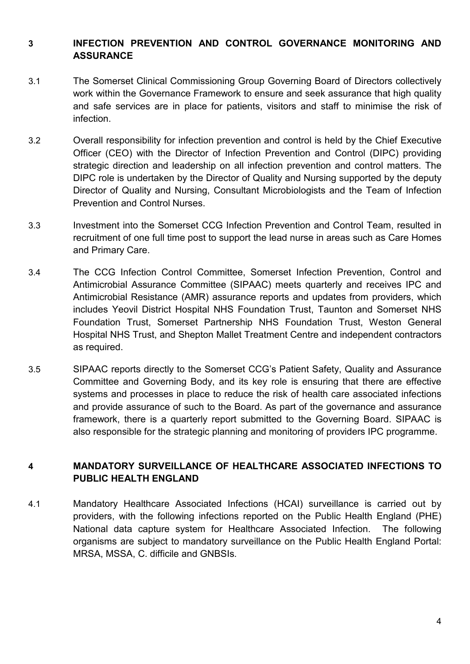# **3 INFECTION PREVENTION AND CONTROL GOVERNANCE MONITORING AND ASSURANCE**

- 3.1 The Somerset Clinical Commissioning Group Governing Board of Directors collectively work within the Governance Framework to ensure and seek assurance that high quality and safe services are in place for patients, visitors and staff to minimise the risk of infection.
- 3.2 Overall responsibility for infection prevention and control is held by the Chief Executive Officer (CEO) with the Director of Infection Prevention and Control (DIPC) providing strategic direction and leadership on all infection prevention and control matters. The DIPC role is undertaken by the Director of Quality and Nursing supported by the deputy Director of Quality and Nursing, Consultant Microbiologists and the Team of Infection Prevention and Control Nurses.
- 3.3 Investment into the Somerset CCG Infection Prevention and Control Team, resulted in recruitment of one full time post to support the lead nurse in areas such as Care Homes and Primary Care.
- 3.4 The CCG Infection Control Committee, Somerset Infection Prevention, Control and Antimicrobial Assurance Committee (SIPAAC) meets quarterly and receives IPC and Antimicrobial Resistance (AMR) assurance reports and updates from providers, which includes Yeovil District Hospital NHS Foundation Trust, Taunton and Somerset NHS Foundation Trust, Somerset Partnership NHS Foundation Trust, Weston General Hospital NHS Trust, and Shepton Mallet Treatment Centre and independent contractors as required.
- 3.5 SIPAAC reports directly to the Somerset CCG's Patient Safety, Quality and Assurance Committee and Governing Body, and its key role is ensuring that there are effective systems and processes in place to reduce the risk of health care associated infections and provide assurance of such to the Board. As part of the governance and assurance framework, there is a quarterly report submitted to the Governing Board. SIPAAC is also responsible for the strategic planning and monitoring of providers IPC programme.

# **4 MANDATORY SURVEILLANCE OF HEALTHCARE ASSOCIATED INFECTIONS TO PUBLIC HEALTH ENGLAND**

4.1 Mandatory Healthcare Associated Infections (HCAI) surveillance is carried out by providers, with the following infections reported on the Public Health England (PHE) National data capture system for Healthcare Associated Infection. The following organisms are subject to mandatory surveillance on the Public Health England Portal: MRSA, MSSA, C. difficile and GNBSIs.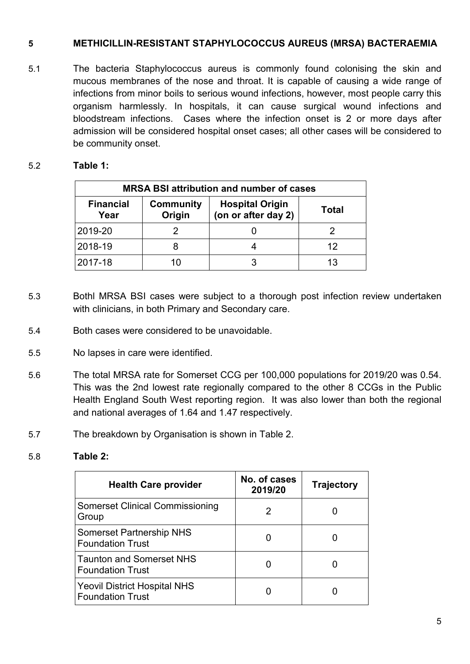#### **5 METHICILLIN-RESISTANT STAPHYLOCOCCUS AUREUS (MRSA) BACTERAEMIA**

5.1 The bacteria Staphylococcus aureus is commonly found colonising the skin and mucous membranes of the nose and throat. It is capable of causing a wide range of infections from minor boils to serious wound infections, however, most people carry this organism harmlessly. In hospitals, it can cause surgical wound infections and bloodstream infections. Cases where the infection onset is 2 or more days after admission will be considered hospital onset cases; all other cases will be considered to be community onset.

#### 5.2 **Table 1:**

| <b>MRSA BSI attribution and number of cases</b>                                                                  |       |  |    |  |  |
|------------------------------------------------------------------------------------------------------------------|-------|--|----|--|--|
| <b>Financial</b><br><b>Hospital Origin</b><br>Community<br><b>Total</b><br>(on or after day 2)<br>Origin<br>Year |       |  |    |  |  |
| 2019-20                                                                                                          |       |  |    |  |  |
| 2018-19                                                                                                          |       |  | 12 |  |  |
| 2017-18                                                                                                          | 1 ( ) |  | 13 |  |  |

- 5.3 Bothl MRSA BSI cases were subject to a thorough post infection review undertaken with clinicians, in both Primary and Secondary care.
- 5.4 Both cases were considered to be unavoidable.
- 5.5 No lapses in care were identified.
- 5.6 The total MRSA rate for Somerset CCG per 100,000 populations for 2019/20 was 0.54. This was the 2nd lowest rate regionally compared to the other 8 CCGs in the Public Health England South West reporting region. It was also lower than both the regional and national averages of 1.64 and 1.47 respectively.
- 5.7 The breakdown by Organisation is shown in Table 2.
- 5.8 **Table 2:**

| <b>Health Care provider</b>                                | No. of cases<br>2019/20 | <b>Trajectory</b> |
|------------------------------------------------------------|-------------------------|-------------------|
| <b>Somerset Clinical Commissioning</b><br>Group            |                         |                   |
| <b>Somerset Partnership NHS</b><br><b>Foundation Trust</b> |                         |                   |
| Taunton and Somerset NHS<br>l Foundation Trust             |                         |                   |
| Yeovil District Hospital NHS<br><b>Foundation Trust</b>    |                         |                   |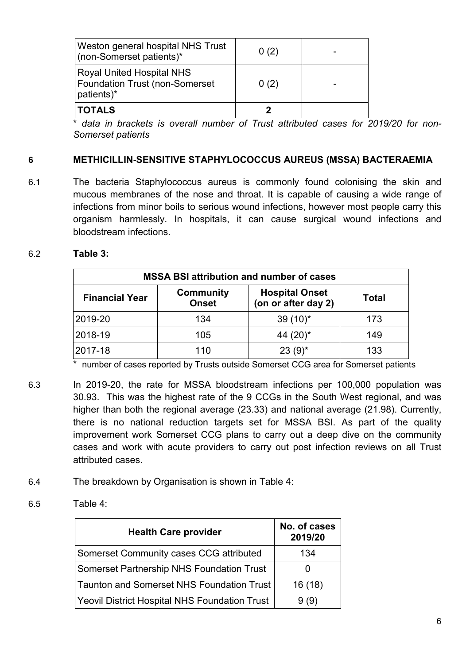| <b>TOTALS</b>                                                                           |      |  |
|-----------------------------------------------------------------------------------------|------|--|
| <b>Royal United Hospital NHS</b><br><b>Foundation Trust (non-Somerset</b><br>patients)* | 0(2) |  |
| Weston general hospital NHS Trust<br>(non-Somerset patients)*                           | 0(2) |  |

data in brackets is overall number of Trust attributed cases for 2019/20 for non-*Somerset patients*

# **6 METHICILLIN-SENSITIVE STAPHYLOCOCCUS AUREUS (MSSA) BACTERAEMIA**

6.1 The bacteria Staphylococcus aureus is commonly found colonising the skin and mucous membranes of the nose and throat. It is capable of causing a wide range of infections from minor boils to serious wound infections, however most people carry this organism harmlessly. In hospitals, it can cause surgical wound infections and bloodstream infections.

#### 6.2 **Table 3:**

| <b>MSSA BSI attribution and number of cases</b>                                                                           |     |             |     |  |  |
|---------------------------------------------------------------------------------------------------------------------------|-----|-------------|-----|--|--|
| <b>Hospital Onset</b><br><b>Community</b><br><b>Financial Year</b><br><b>Total</b><br>(on or after day 2)<br><b>Onset</b> |     |             |     |  |  |
| 2019-20                                                                                                                   | 134 | $39(10)^*$  | 173 |  |  |
| 2018-19                                                                                                                   | 105 | 44 $(20)^*$ | 149 |  |  |
| 2017-18                                                                                                                   | 110 | $23(9)^{*}$ | 133 |  |  |

\* number of cases reported by Trusts outside Somerset CCG area for Somerset patients

- 6.3 In 2019-20, the rate for MSSA bloodstream infections per 100,000 population was 30.93. This was the highest rate of the 9 CCGs in the South West regional, and was higher than both the regional average (23.33) and national average (21.98). Currently, there is no national reduction targets set for MSSA BSI. As part of the quality improvement work Somerset CCG plans to carry out a deep dive on the community cases and work with acute providers to carry out post infection reviews on all Trust attributed cases.
- 6.4 The breakdown by Organisation is shown in Table 4:
- 6.5 Table 4:

| <b>Health Care provider</b>                          | No. of cases<br>2019/20 |
|------------------------------------------------------|-------------------------|
| Somerset Community cases CCG attributed              | 134                     |
| Somerset Partnership NHS Foundation Trust            |                         |
| <b>Taunton and Somerset NHS Foundation Trust</b>     | 16(18)                  |
| <b>Yeovil District Hospital NHS Foundation Trust</b> | 9(9)                    |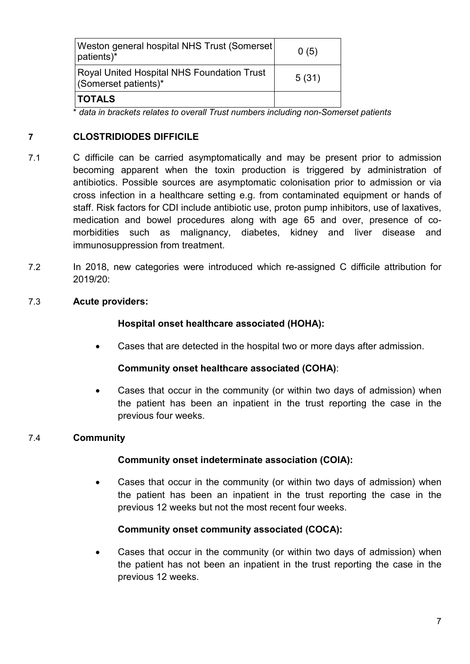| Weston general hospital NHS Trust (Somerset)<br>patients)*         | 0(5)  |
|--------------------------------------------------------------------|-------|
| Royal United Hospital NHS Foundation Trust<br>(Somerset patients)* | 5(31) |
| <b>TOTALS</b>                                                      |       |

\* *data in brackets relates to overall Trust numbers including non-Somerset patients* 

#### **7 CLOSTRIDIODES DIFFICILE**

- 7.1 C difficile can be carried asymptomatically and may be present prior to admission becoming apparent when the toxin production is triggered by administration of antibiotics. Possible sources are asymptomatic colonisation prior to admission or via cross infection in a healthcare setting e.g. from contaminated equipment or hands of staff. Risk factors for CDI include antibiotic use, proton pump inhibitors, use of laxatives, medication and bowel procedures along with age 65 and over, presence of comorbidities such as malignancy, diabetes, kidney and liver disease and immunosuppression from treatment.
- 7.2 In 2018, new categories were introduced which re-assigned C difficile attribution for 2019/20:

#### 7.3 **Acute providers:**

#### **Hospital onset healthcare associated (HOHA):**

Cases that are detected in the hospital two or more days after admission.

#### **Community onset healthcare associated (COHA)**:

 Cases that occur in the community (or within two days of admission) when the patient has been an inpatient in the trust reporting the case in the previous four weeks.

#### 7.4 **Community**

#### **Community onset indeterminate association (COIA):**

 Cases that occur in the community (or within two days of admission) when the patient has been an inpatient in the trust reporting the case in the previous 12 weeks but not the most recent four weeks.

#### **Community onset community associated (COCA):**

 Cases that occur in the community (or within two days of admission) when the patient has not been an inpatient in the trust reporting the case in the previous 12 weeks.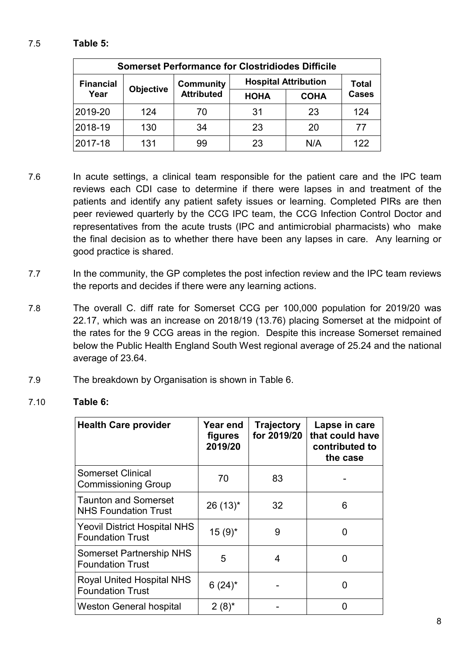# 7.5 **Table 5:**

| <b>Somerset Performance for Clostridiodes Difficile</b> |     |                   |                             |              |              |  |
|---------------------------------------------------------|-----|-------------------|-----------------------------|--------------|--------------|--|
| <b>Financial</b>                                        |     | <b>Community</b>  | <b>Hospital Attribution</b> | <b>Total</b> |              |  |
| <b>Objective</b><br>Year                                |     | <b>Attributed</b> | <b>HOHA</b>                 | <b>COHA</b>  | <b>Cases</b> |  |
| 2019-20                                                 | 124 | 70                | 31                          | 23           | 124          |  |
| 2018-19                                                 | 130 | 34                | 23                          | 20           | 77           |  |
| 2017-18                                                 | 131 | 99                | 23                          | N/A          | 122          |  |

- 7.6 In acute settings, a clinical team responsible for the patient care and the IPC team reviews each CDI case to determine if there were lapses in and treatment of the patients and identify any patient safety issues or learning. Completed PIRs are then peer reviewed quarterly by the CCG IPC team, the CCG Infection Control Doctor and representatives from the acute trusts (IPC and antimicrobial pharmacists) who make the final decision as to whether there have been any lapses in care. Any learning or good practice is shared.
- 7.7 In the community, the GP completes the post infection review and the IPC team reviews the reports and decides if there were any learning actions.
- 7.8 The overall C. diff rate for Somerset CCG per 100,000 population for 2019/20 was 22.17, which was an increase on 2018/19 (13.76) placing Somerset at the midpoint of the rates for the 9 CCG areas in the region. Despite this increase Somerset remained below the Public Health England South West regional average of 25.24 and the national average of 23.64.
- 7.9 The breakdown by Organisation is shown in Table 6.

#### 7.10 **Table 6:**

| <b>Health Care provider</b>                                    | Year end<br>figures<br>2019/20 | <b>Trajectory</b><br>for 2019/20 | Lapse in care<br>that could have<br>contributed to<br>the case |
|----------------------------------------------------------------|--------------------------------|----------------------------------|----------------------------------------------------------------|
| <b>Somerset Clinical</b><br><b>Commissioning Group</b>         | 70                             | 83                               |                                                                |
| <b>Taunton and Somerset</b><br><b>NHS Foundation Trust</b>     | $26(13)^{*}$                   | 32                               | 6                                                              |
| <b>Yeovil District Hospital NHS</b><br><b>Foundation Trust</b> | $15(9)^{*}$                    | 9                                |                                                                |
| <b>Somerset Partnership NHS</b><br><b>Foundation Trust</b>     | 5                              | 4                                |                                                                |
| <b>Royal United Hospital NHS</b><br><b>Foundation Trust</b>    | $6(24)^{*}$                    |                                  |                                                                |
| <b>Weston General hospital</b>                                 | $2(8)^{*}$                     |                                  |                                                                |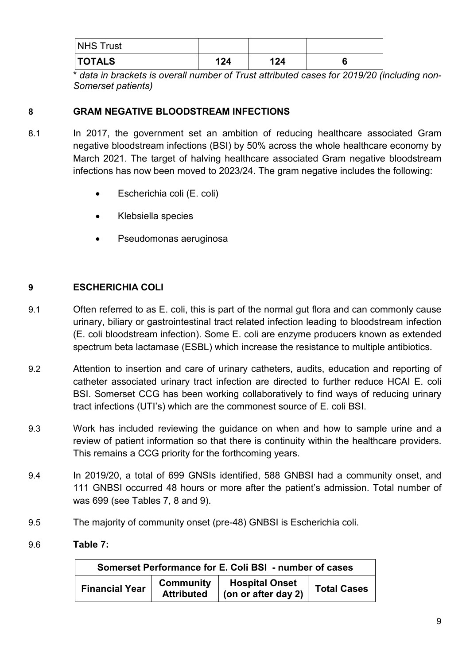| NHS Trust     |     |     |  |
|---------------|-----|-----|--|
| <b>TOTALS</b> | 124 | 124 |  |

\* *data in brackets is overall number of Trust attributed cases for 2019/20 (including non-Somerset patients)*

# **8 GRAM NEGATIVE BLOODSTREAM INFECTIONS**

- 8.1 In 2017, the government set an ambition of reducing healthcare associated Gram negative bloodstream infections (BSI) by 50% across the whole healthcare economy by March 2021. The target of halving healthcare associated Gram negative bloodstream infections has now been moved to 2023/24. The gram negative includes the following:
	- Escherichia coli (E. coli)
	- Klebsiella species
	- Pseudomonas aeruginosa

# **9 ESCHERICHIA COLI**

- 9.1 Often referred to as E. coli, this is part of the normal gut flora and can commonly cause urinary, biliary or gastrointestinal tract related infection leading to bloodstream infection (E. coli bloodstream infection). Some E. coli are enzyme producers known as extended spectrum beta lactamase (ESBL) which increase the resistance to multiple antibiotics.
- 9.2 Attention to insertion and care of urinary catheters, audits, education and reporting of catheter associated urinary tract infection are directed to further reduce HCAI E. coli BSI. Somerset CCG has been working collaboratively to find ways of reducing urinary tract infections (UTI's) which are the commonest source of E. coli BSI.
- 9.3 Work has included reviewing the guidance on when and how to sample urine and a review of patient information so that there is continuity within the healthcare providers. This remains a CCG priority for the forthcoming years.
- 9.4 In 2019/20, a total of 699 GNSIs identified, 588 GNBSI had a community onset, and 111 GNBSI occurred 48 hours or more after the patient's admission. Total number of was 699 (see Tables 7, 8 and 9).
- 9.5 The majority of community onset (pre-48) GNBSI is Escherichia coli.
- 9.6 **Table 7:**

| Somerset Performance for E. Coli BSI - number of cases |                                       |                                       |                    |
|--------------------------------------------------------|---------------------------------------|---------------------------------------|--------------------|
| <b>Financial Year</b>                                  | <b>Community</b><br><b>Attributed</b> | Hospital Onset<br>(on or after day 2) | <b>Total Cases</b> |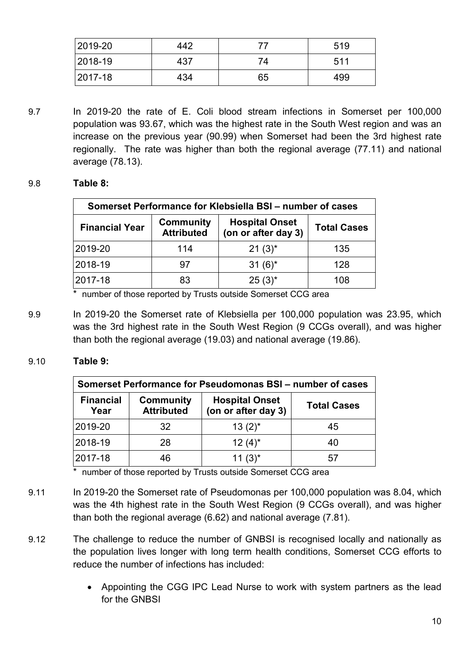| 2019-20 | 442 |    | 519 |
|---------|-----|----|-----|
| 2018-19 | 437 | 74 | 511 |
| 2017-18 | 434 | 65 | 499 |

9.7 In 2019-20 the rate of E. Coli blood stream infections in Somerset per 100,000 population was 93.67, which was the highest rate in the South West region and was an increase on the previous year (90.99) when Somerset had been the 3rd highest rate regionally. The rate was higher than both the regional average (77.11) and national average (78.13).

#### 9.8 **Table 8:**

| Somerset Performance for Klebsiella BSI – number of cases |                                       |                                              |                    |
|-----------------------------------------------------------|---------------------------------------|----------------------------------------------|--------------------|
| <b>Financial Year</b>                                     | <b>Community</b><br><b>Attributed</b> | <b>Hospital Onset</b><br>(on or after day 3) | <b>Total Cases</b> |
| 2019-20                                                   | 114                                   | $21(3)^{*}$                                  | 135                |
| 2018-19                                                   | 97                                    | $31(6)^*$                                    | 128                |
| 2017-18                                                   | 83                                    | $25(3)^{*}$                                  | 108                |

number of those reported by Trusts outside Somerset CCG area

9.9 In 2019-20 the Somerset rate of Klebsiella per 100,000 population was 23.95, which was the 3rd highest rate in the South West Region (9 CCGs overall), and was higher than both the regional average (19.03) and national average (19.86).

#### 9.10 **Table 9:**

| Somerset Performance for Pseudomonas BSI – number of cases |                                       |                                              |                    |
|------------------------------------------------------------|---------------------------------------|----------------------------------------------|--------------------|
| <b>Financial</b><br>Year                                   | <b>Community</b><br><b>Attributed</b> | <b>Hospital Onset</b><br>(on or after day 3) | <b>Total Cases</b> |
| 2019-20                                                    | 32                                    | $13(2)^{*}$                                  | 45                 |
| 2018-19                                                    | 28                                    | $12(4)^{*}$                                  | 40                 |
| 2017-18                                                    | 46                                    | $11(3)^{*}$                                  | 57                 |

\* number of those reported by Trusts outside Somerset CCG area

- 9.11 In 2019-20 the Somerset rate of Pseudomonas per 100,000 population was 8.04, which was the 4th highest rate in the South West Region (9 CCGs overall), and was higher than both the regional average (6.62) and national average (7.81).
- 9.12 The challenge to reduce the number of GNBSI is recognised locally and nationally as the population lives longer with long term health conditions, Somerset CCG efforts to reduce the number of infections has included:
	- Appointing the CGG IPC Lead Nurse to work with system partners as the lead for the GNBSI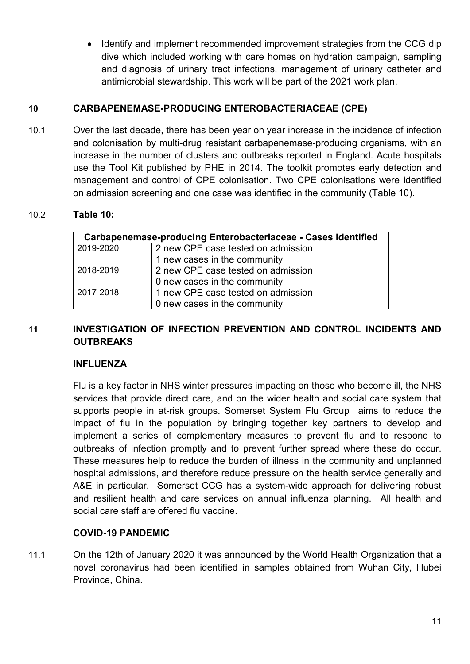• Identify and implement recommended improvement strategies from the CCG dip dive which included working with care homes on hydration campaign, sampling and diagnosis of urinary tract infections, management of urinary catheter and antimicrobial stewardship. This work will be part of the 2021 work plan.

#### **10 CARBAPENEMASE-PRODUCING ENTEROBACTERIACEAE (CPE)**

10.1 Over the last decade, there has been year on year increase in the incidence of infection and colonisation by multi-drug resistant carbapenemase-producing organisms, with an increase in the number of clusters and outbreaks reported in England. Acute hospitals use the Tool Kit published by PHE in 2014. The toolkit promotes early detection and management and control of CPE colonisation. Two CPE colonisations were identified on admission screening and one case was identified in the community (Table 10).

#### 10.2 **Table 10:**

| Carbapenemase-producing Enterobacteriaceae - Cases identified |                                    |  |  |
|---------------------------------------------------------------|------------------------------------|--|--|
| 2019-2020                                                     | 2 new CPE case tested on admission |  |  |
|                                                               | 1 new cases in the community       |  |  |
| 2018-2019                                                     | 2 new CPE case tested on admission |  |  |
|                                                               | 0 new cases in the community       |  |  |
| 2017-2018                                                     | 1 new CPE case tested on admission |  |  |
|                                                               | 0 new cases in the community       |  |  |

# **11 INVESTIGATION OF INFECTION PREVENTION AND CONTROL INCIDENTS AND OUTBREAKS**

#### **INFLUENZA**

Flu is a key factor in NHS winter pressures impacting on those who become ill, the NHS services that provide direct care, and on the wider health and social care system that supports people in at-risk groups. Somerset System Flu Group aims to reduce the impact of flu in the population by bringing together key partners to develop and implement a series of complementary measures to prevent flu and to respond to outbreaks of infection promptly and to prevent further spread where these do occur. These measures help to reduce the burden of illness in the community and unplanned hospital admissions, and therefore reduce pressure on the health service generally and A&E in particular. Somerset CCG has a system-wide approach for delivering robust and resilient health and care services on annual influenza planning. All health and social care staff are offered flu vaccine.

#### **COVID-19 PANDEMIC**

11.1 On the 12th of January 2020 it was announced by the World Health Organization that a novel coronavirus had been identified in samples obtained from Wuhan City, Hubei Province, China.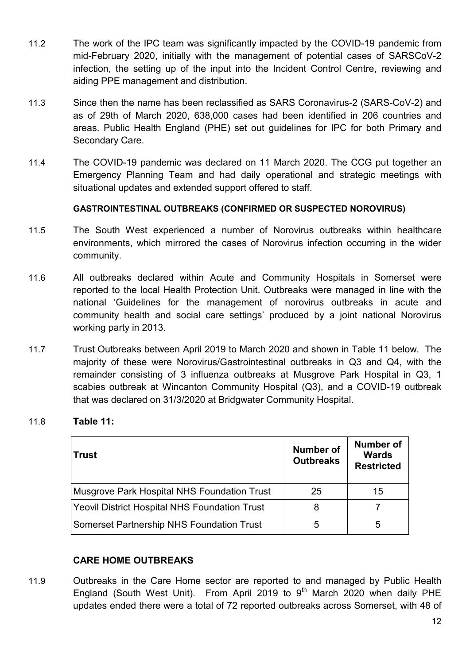- 11.2 The work of the IPC team was significantly impacted by the COVID-19 pandemic from mid-February 2020, initially with the management of potential cases of SARSCoV-2 infection, the setting up of the input into the Incident Control Centre, reviewing and aiding PPE management and distribution.
- 11.3 Since then the name has been reclassified as SARS Coronavirus-2 (SARS-CoV-2) and as of 29th of March 2020, 638,000 cases had been identified in 206 countries and areas. Public Health England (PHE) set out guidelines for IPC for both Primary and Secondary Care.
- 11.4 The COVID-19 pandemic was declared on 11 March 2020. The CCG put together an Emergency Planning Team and had daily operational and strategic meetings with situational updates and extended support offered to staff.

#### **GASTROINTESTINAL OUTBREAKS (CONFIRMED OR SUSPECTED NOROVIRUS)**

- 11.5 The South West experienced a number of Norovirus outbreaks within healthcare environments, which mirrored the cases of Norovirus infection occurring in the wider community.
- 11.6 All outbreaks declared within Acute and Community Hospitals in Somerset were reported to the local Health Protection Unit. Outbreaks were managed in line with the national 'Guidelines for the management of norovirus outbreaks in acute and community health and social care settings' produced by a joint national Norovirus working party in 2013.
- 11.7 Trust Outbreaks between April 2019 to March 2020 and shown in Table 11 below. The majority of these were Norovirus/Gastrointestinal outbreaks in Q3 and Q4, with the remainder consisting of 3 influenza outbreaks at Musgrove Park Hospital in Q3, 1 scabies outbreak at Wincanton Community Hospital (Q3), and a COVID-19 outbreak that was declared on 31/3/2020 at Bridgwater Community Hospital.

#### 11.8 **Table 11:**

| <b>Trust</b>                                         | <b>Number of</b><br><b>Outbreaks</b> | <b>Number of</b><br>Wards<br><b>Restricted</b> |
|------------------------------------------------------|--------------------------------------|------------------------------------------------|
| Musgrove Park Hospital NHS Foundation Trust          | 25                                   | 15                                             |
| <b>Yeovil District Hospital NHS Foundation Trust</b> | 8                                    |                                                |
| <b>Somerset Partnership NHS Foundation Trust</b>     | 5                                    | 5                                              |

#### **CARE HOME OUTBREAKS**

11.9 Outbreaks in the Care Home sector are reported to and managed by Public Health England (South West Unit). From April 2019 to  $9<sup>th</sup>$  March 2020 when daily PHE updates ended there were a total of 72 reported outbreaks across Somerset, with 48 of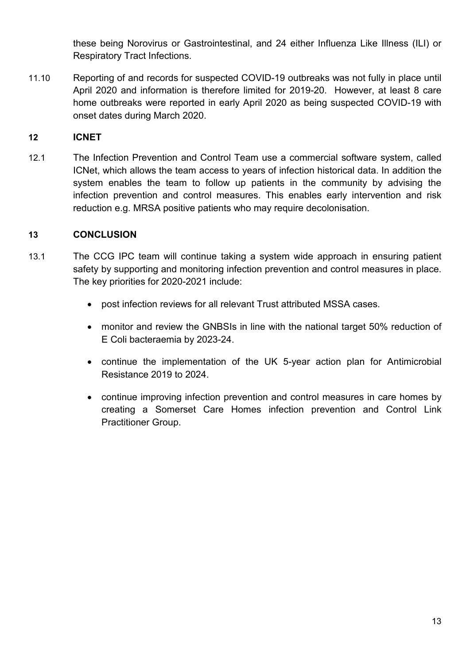these being Norovirus or Gastrointestinal, and 24 either Influenza Like Illness (ILI) or Respiratory Tract Infections.

11.10 Reporting of and records for suspected COVID-19 outbreaks was not fully in place until April 2020 and information is therefore limited for 2019-20. However, at least 8 care home outbreaks were reported in early April 2020 as being suspected COVID-19 with onset dates during March 2020.

#### **12 ICNET**

12.1 The Infection Prevention and Control Team use a commercial software system, called ICNet, which allows the team access to years of infection historical data. In addition the system enables the team to follow up patients in the community by advising the infection prevention and control measures. This enables early intervention and risk reduction e.g. MRSA positive patients who may require decolonisation.

#### **13 CONCLUSION**

- 13.1 The CCG IPC team will continue taking a system wide approach in ensuring patient safety by supporting and monitoring infection prevention and control measures in place. The key priorities for 2020-2021 include:
	- post infection reviews for all relevant Trust attributed MSSA cases.
	- monitor and review the GNBSIs in line with the national target 50% reduction of E Coli bacteraemia by 2023-24.
	- continue the implementation of the UK 5-year action plan for Antimicrobial Resistance 2019 to 2024.
	- continue improving infection prevention and control measures in care homes by creating a Somerset Care Homes infection prevention and Control Link Practitioner Group.